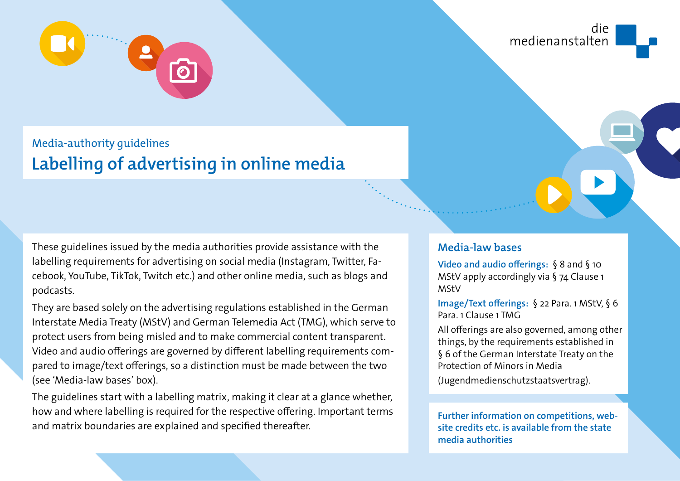

## Media-authority guidelines

# **Labelling of advertising in online media**

These guidelines issued by the media authorities provide assistance with the labelling requirements for advertising on social media (Instagram, Twitter, Facebook, YouTube, TikTok, Twitch etc.) and other online media, such as blogs and podcasts.

They are based solely on the advertising regulations established in the German Interstate Media Treaty (MStV) and German Telemedia Act (TMG), which serve to protect users from being misled and to make commercial content transparent. Video and audio offerings are governed by different labelling requirements compared to image/text offerings, so a distinction must be made between the two (see 'Media-law bases' box).

The guidelines start with a labelling matrix, making it clear at a glance whether, how and where labelling is required for the respective offering. Important terms and matrix boundaries are explained and specified thereafter.

**Media-law bases**

**Video and audio offerings:** § 8 and § 10 MStV apply accordingly via § 74 Clause 1 MStV

**Image/Text offerings:** § 22 Para. 1 MStV, § 6 Para. 1 Clause 1 TMG

All offerings are also governed, among other things, by the requirements established in § 6 of the German Interstate Treaty on the Protection of Minors in Media

(Jugendmedienschutzstaatsvertrag).

**Further information on competitions, website credits etc. is available from the state media authorities**

die medienanstalten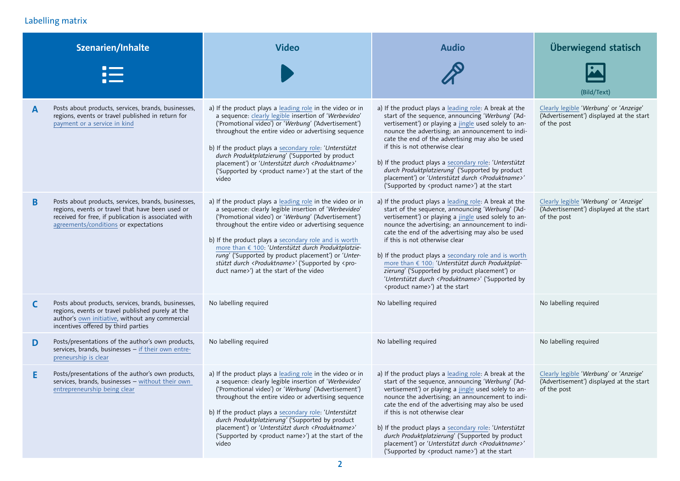## <span id="page-1-0"></span>Labelling matrix

|   | <b>Szenarien/Inhalte</b>                                                                                                                                                                                 | <b>Video</b>                                                                                                                                                                                                                                                                                                                                                                                                                                                                                                                      | <b>Audio</b>                                                                                                                                                                                                                                                                                                                                                                                                                                                                                                                                                                                  | Überwiegend statisch                                                                              |
|---|----------------------------------------------------------------------------------------------------------------------------------------------------------------------------------------------------------|-----------------------------------------------------------------------------------------------------------------------------------------------------------------------------------------------------------------------------------------------------------------------------------------------------------------------------------------------------------------------------------------------------------------------------------------------------------------------------------------------------------------------------------|-----------------------------------------------------------------------------------------------------------------------------------------------------------------------------------------------------------------------------------------------------------------------------------------------------------------------------------------------------------------------------------------------------------------------------------------------------------------------------------------------------------------------------------------------------------------------------------------------|---------------------------------------------------------------------------------------------------|
|   |                                                                                                                                                                                                          |                                                                                                                                                                                                                                                                                                                                                                                                                                                                                                                                   |                                                                                                                                                                                                                                                                                                                                                                                                                                                                                                                                                                                               | (Bild/Text)                                                                                       |
| A | Posts about products, services, brands, businesses,<br>regions, events or travel published in return for<br>payment or a service in kind                                                                 | a) If the product plays a leading role in the video or in<br>a sequence: clearly legible insertion of 'Werbevideo'<br>('Promotional video') or 'Werbung' ('Advertisement')<br>throughout the entire video or advertising sequence<br>b) If the product plays a secondary role: 'Unterstützt<br>durch Produktplatzierung' ('Supported by product<br>placement') or 'Unterstützt durch <produktname>'<br/>('Supported by <product name="">') at the start of the<br/>video</product></produktname>                                  | a) If the product plays a leading role: A break at the<br>start of the sequence, announcing 'Werbung' ('Ad-<br>vertisement') or playing a jingle used solely to an-<br>nounce the advertising; an announcement to indi-<br>cate the end of the advertising may also be used<br>if this is not otherwise clear<br>b) If the product plays a secondary role: 'Unterstützt<br>durch Produktplatzierung' ('Supported by product<br>placement') or 'Unterstützt durch <produktname>'<br/>('Supported by <product name="">') at the start</product></produktname>                                   | Clearly legible 'Werbung' or 'Anzeige'<br>('Advertisement') displayed at the start<br>of the post |
| B | Posts about products, services, brands, businesses,<br>regions, events or travel that have been used or<br>received for free, if publication is associated with<br>agreements/conditions or expectations | a) If the product plays a leading role in the video or in<br>a sequence: clearly legible insertion of 'Werbevideo'<br>('Promotional video') or 'Werbung' ('Advertisement')<br>throughout the entire video or advertising sequence<br>b) If the product plays a secondary role and is worth<br>more than € 100: 'Unterstützt durch Produktplatzie-<br>rung' ('Supported by product placement') or 'Unter-<br>stützt durch <produktname>' ('Supported by <pro-<br>duct name&gt;') at the start of the video</pro-<br></produktname> | a) If the product plays a leading role: A break at the<br>start of the sequence, announcing 'Werbung' ('Ad-<br>vertisement') or playing a jingle used solely to an-<br>nounce the advertising; an announcement to indi-<br>cate the end of the advertising may also be used<br>if this is not otherwise clear<br>b) If the product plays a secondary role and is worth<br>more than € 100: 'Unterstützt durch Produktplat-<br>zierung' ('Supported by product placement') or<br>'Unterstützt durch <produktname>' ('Supported by<br/><product name="">') at the start</product></produktname> | Clearly legible 'Werbung' or 'Anzeige'<br>('Advertisement') displayed at the start<br>of the post |
| C | Posts about products, services, brands, businesses,<br>regions, events or travel published purely at the<br>author's own initiative, without any commercial<br>incentives offered by third parties       | No labelling required                                                                                                                                                                                                                                                                                                                                                                                                                                                                                                             | No labelling required                                                                                                                                                                                                                                                                                                                                                                                                                                                                                                                                                                         | No labelling required                                                                             |
| D | Posts/presentations of the author's own products,<br>services, brands, businesses - if their own entre-<br>preneurship is clear                                                                          | No labelling required                                                                                                                                                                                                                                                                                                                                                                                                                                                                                                             | No labelling required                                                                                                                                                                                                                                                                                                                                                                                                                                                                                                                                                                         | No labelling required                                                                             |
| Ε | Posts/presentations of the author's own products,<br>services, brands, businesses - without their own<br>entrepreneurship being clear                                                                    | a) If the product plays a leading role in the video or in<br>a sequence: clearly legible insertion of 'Werbevideo'<br>('Promotional video') or 'Werbung' ('Advertisement')<br>throughout the entire video or advertising sequence<br>b) If the product plays a secondary role: 'Unterstützt<br>durch Produktplatzierung' ('Supported by product<br>placement') or 'Unterstützt durch <produktname>'<br/>('Supported by <product name="">') at the start of the<br/>video</product></produktname>                                  | a) If the product plays a leading role: A break at the<br>start of the sequence, announcing 'Werbung' ('Ad-<br>vertisement') or playing a jingle used solely to an-<br>nounce the advertising; an announcement to indi-<br>cate the end of the advertising may also be used<br>if this is not otherwise clear<br>b) If the product plays a secondary role: 'Unterstützt<br>durch Produktplatzierung' ('Supported by product<br>placement') or 'Unterstützt durch <produktname>'<br/>('Supported by <product name="">') at the start</product></produktname>                                   | Clearly legible 'Werbung' or 'Anzeige'<br>('Advertisement') displayed at the start<br>of the post |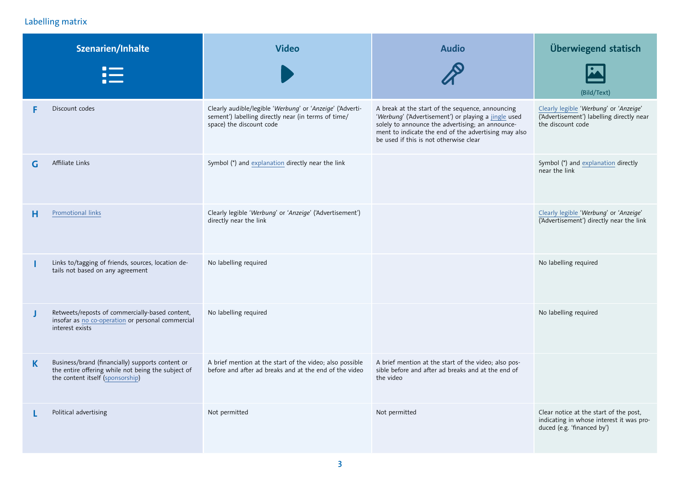#### Labelling matrix

|    | Szenarien/Inhalte                                                                                                                          | <b>Video</b>                                                                                                                                 | <b>Audio</b>                                                                                                                                                                                                                                                   | Überwiegend statisch                                                                                             |
|----|--------------------------------------------------------------------------------------------------------------------------------------------|----------------------------------------------------------------------------------------------------------------------------------------------|----------------------------------------------------------------------------------------------------------------------------------------------------------------------------------------------------------------------------------------------------------------|------------------------------------------------------------------------------------------------------------------|
|    |                                                                                                                                            |                                                                                                                                              |                                                                                                                                                                                                                                                                | (Bild/Text)                                                                                                      |
| F  | Discount codes                                                                                                                             | Clearly audible/legible 'Werbung' or 'Anzeige' ('Adverti-<br>sement') labelling directly near (in terms of time/<br>space) the discount code | A break at the start of the sequence, announcing<br>'Werbung' ('Advertisement') or playing a jingle used<br>solely to announce the advertising; an announce-<br>ment to indicate the end of the advertising may also<br>be used if this is not otherwise clear | Clearly legible 'Werbung' or 'Anzeige'<br>('Advertisement') labelling directly near<br>the discount code         |
| G  | Affiliate Links                                                                                                                            | Symbol (*) and explanation directly near the link                                                                                            |                                                                                                                                                                                                                                                                | Symbol (*) and explanation directly<br>near the link                                                             |
| н  | Promotional links                                                                                                                          | Clearly legible 'Werbung' or 'Anzeige' ('Advertisement')<br>directly near the link                                                           |                                                                                                                                                                                                                                                                | Clearly legible 'Werbung' or 'Anzeige'<br>('Advertisement') directly near the link                               |
| ı  | Links to/tagging of friends, sources, location de-<br>tails not based on any agreement                                                     | No labelling required                                                                                                                        |                                                                                                                                                                                                                                                                | No labelling required                                                                                            |
| J  | Retweets/reposts of commercially-based content,<br>insofar as no co-operation or personal commercial<br>interest exists                    | No labelling required                                                                                                                        |                                                                                                                                                                                                                                                                | No labelling required                                                                                            |
| K. | Business/brand (financially) supports content or<br>the entire offering while not being the subject of<br>the content itself (sponsorship) | A brief mention at the start of the video; also possible<br>before and after ad breaks and at the end of the video                           | A brief mention at the start of the video; also pos-<br>sible before and after ad breaks and at the end of<br>the video                                                                                                                                        |                                                                                                                  |
|    | Political advertising                                                                                                                      | Not permitted                                                                                                                                | Not permitted                                                                                                                                                                                                                                                  | Clear notice at the start of the post,<br>indicating in whose interest it was pro-<br>duced (e.g. 'financed by') |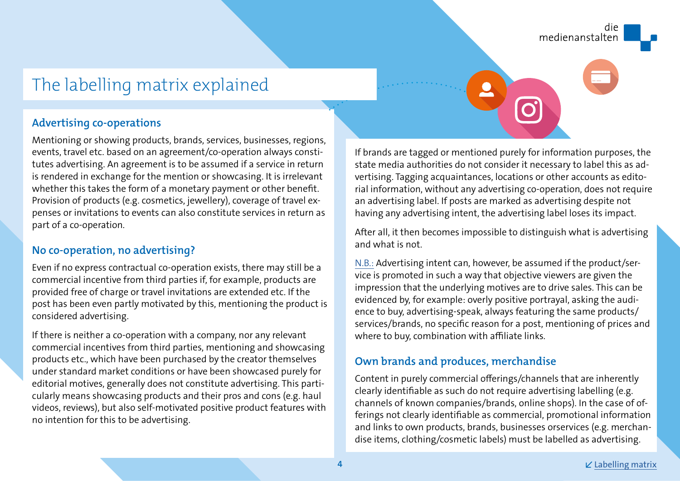## <span id="page-3-0"></span>The labelling matrix explained

#### **Advertising co-operations**

Mentioning or showing products, brands, services, businesses, regions, events, travel etc. based on an agreement/co-operation always constitutes advertising. An agreement is to be assumed if a service in return is rendered in exchange for the mention or showcasing. It is irrelevant whether this takes the form of a monetary payment or other benefit. Provision of products (e.g. cosmetics, jewellery), coverage of travel expenses or invitations to events can also constitute services in return as part of a co-operation.

## **No co-operation, no advertising?**

Even if no express contractual co-operation exists, there may still be a commercial incentive from third parties if, for example, products are provided free of charge or travel invitations are extended etc. If the post has been even partly motivated by this, mentioning the product is considered advertising.

If there is neither a co-operation with a company, nor any relevant commercial incentives from third parties, mentioning and showcasing products etc., which have been purchased by the creator themselves under standard market conditions or have been showcased purely for editorial motives, generally does not constitute advertising. This particularly means showcasing products and their pros and cons (e.g. haul videos, reviews), but also self-motivated positive product features with no intention for this to be advertising.

If brands are tagged or mentioned purely for information purposes, the state media authorities do not consider it necessary to label this as advertising. Tagging acquaintances, locations or other accounts as editorial information, without any advertising co-operation, does not require an advertising label. If posts are marked as advertising despite not having any advertising intent, the advertising label loses its impact.

After all, it then becomes impossible to distinguish what is advertising and what is not.

N.B.: Advertising intent can, however, be assumed if the product/service is promoted in such a way that objective viewers are given the impression that the underlying motives are to drive sales. This can be evidenced by, for example: overly positive portrayal, asking the audience to buy, advertising-speak, always featuring the same products/ services/brands, no specific reason for a post, mentioning of prices and where to buy, combination with affiliate links.

## **Own brands and produces, merchandise**

Content in purely commercial offerings/channels that are inherently clearly identifiable as such do not require advertising labelling (e.g. channels of known companies/brands, online shops). In the case of offerings not clearly identifiable as commercial, promotional information and links to own products, brands, businesses orservices (e.g. merchandise items, clothing/cosmetic labels) must be labelled as advertising.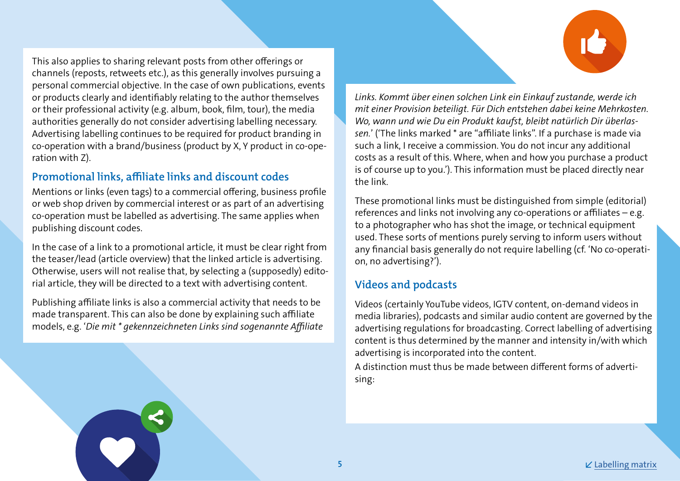<span id="page-4-0"></span>This also applies to sharing relevant posts from other offerings or channels (reposts, retweets etc.), as this generally involves pursuing a personal commercial objective. In the case of own publications, events or products clearly and identifiably relating to the author themselves or their professional activity (e.g. album, book, film, tour), the media authorities generally do not consider advertising labelling necessary. Advertising labelling continues to be required for product branding in co-operation with a brand/business (product by X, Y product in co-operation with Z).

## **Promotional links, affiliate links and discount codes**

Mentions or links (even tags) to a commercial offering, business profile or web shop driven by commercial interest or as part of an advertising co-operation must be labelled as advertising. The same applies when publishing discount codes.

In the case of a link to a promotional article, it must be clear right from the teaser/lead (article overview) that the linked article is advertising. Otherwise, users will not realise that, by selecting a (supposedly) editorial article, they will be directed to a text with advertising content.

Publishing affiliate links is also a commercial activity that needs to be made transparent. This can also be done by explaining such affiliate models, e.g. '*Die mit \* gekennzeichneten Links sind sogenannte Affiliate*  *Links. Kommt über einen solchen Link ein Einkauf zustande, werde ich mit einer Provision beteiligt. Für Dich entstehen dabei keine Mehrkosten. Wo, wann und wie Du ein Produkt kaufst, bleibt natürlich Dir überlassen.*' ('The links marked \* are "affiliate links". If a purchase is made via such a link, I receive a commission. You do not incur any additional costs as a result of this. Where, when and how you purchase a product is of course up to you.'). This information must be placed directly near the link.

These promotional links must be distinguished from simple (editorial) references and links not involving any co-operations or affiliates – e.g. to a photographer who has shot the image, or technical equipment used. These sorts of mentions purely serving to inform users without any financial basis generally do not require labelling (cf. 'No co-operation, no advertising?').

## **Videos and podcasts**

Videos (certainly YouTube videos, IGTV content, on-demand videos in media libraries), podcasts and similar audio content are governed by the advertising regulations for broadcasting. Correct labelling of advertising content is thus determined by the manner and intensity in/with which advertising is incorporated into the content.

A distinction must thus be made between different forms of advertising: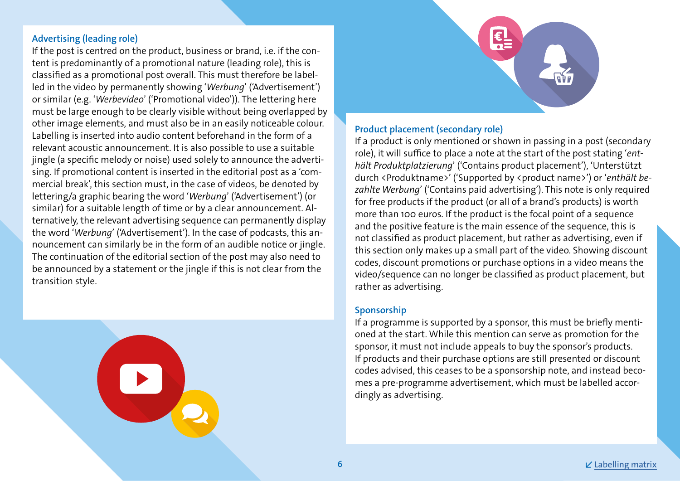#### <span id="page-5-0"></span>**Advertising (leading role)**

If the post is centred on the product, business or brand, i.e. if the content is predominantly of a promotional nature (leading role), this is classified as a promotional post overall. This must therefore be labelled in the video by permanently showing '*Werbung*' ('Advertisement') or similar (e.g. '*Werbevideo*' ('Promotional video')). The lettering here must be large enough to be clearly visible without being overlapped by other image elements, and must also be in an easily noticeable colour. Labelling is inserted into audio content beforehand in the form of a relevant acoustic announcement. It is also possible to use a suitable jingle (a specific melody or noise) used solely to announce the advertising. If promotional content is inserted in the editorial post as a 'commercial break', this section must, in the case of videos, be denoted by lettering/a graphic bearing the word '*Werbung*' ('Advertisement') (or similar) for a suitable length of time or by a clear announcement. Alternatively, the relevant advertising sequence can permanently display the word '*Werbung*' ('Advertisement'). In the case of podcasts, this announcement can similarly be in the form of an audible notice or jingle. The continuation of the editorial section of the post may also need to be announced by a statement or the jingle if this is not clear from the transition style.





#### **Product placement (secondary role)**

If a product is only mentioned or shown in passing in a post (secondary role), it will suffice to place a note at the start of the post stating '*enthält Produktplatzierung*' ('Contains product placement'), 'Unterstützt durch <Produktname>' ('Supported by <product name>') or '*enthält bezahlte Werbung*' ('Contains paid advertising'). This note is only required for free products if the product (or all of a brand's products) is worth more than 100 euros. If the product is the focal point of a sequence and the positive feature is the main essence of the sequence, this is not classified as product placement, but rather as advertising, even if this section only makes up a small part of the video. Showing discount codes, discount promotions or purchase options in a video means the video/sequence can no longer be classified as product placement, but rather as advertising.

#### **Sponsorship**

If a programme is supported by a sponsor, this must be briefly mentioned at the start. While this mention can serve as promotion for the sponsor, it must not include appeals to buy the sponsor's products. If products and their purchase options are still presented or discount codes advised, this ceases to be a sponsorship note, and instead becomes a pre-programme advertisement, which must be labelled accordingly as advertising.